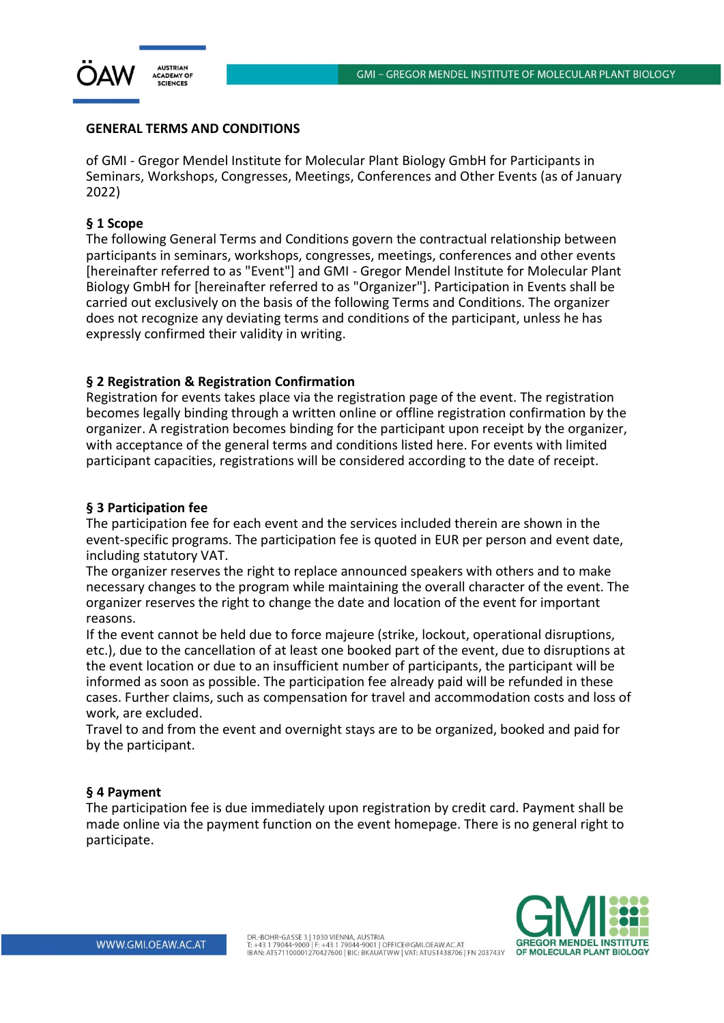

## **GENERAL TERMS AND CONDITIONS**

of GMI - Gregor Mendel Institute for Molecular Plant Biology GmbH for Participants in Seminars, Workshops, Congresses, Meetings, Conferences and Other Events (as of January 2022)

## **§ 1 Scope**

The following General Terms and Conditions govern the contractual relationship between participants in seminars, workshops, congresses, meetings, conferences and other events [hereinafter referred to as "Event"] and GMI - Gregor Mendel Institute for Molecular Plant Biology GmbH for [hereinafter referred to as "Organizer"]. Participation in Events shall be carried out exclusively on the basis of the following Terms and Conditions. The organizer does not recognize any deviating terms and conditions of the participant, unless he has expressly confirmed their validity in writing.

### **§ 2 Registration & Registration Confirmation**

Registration for events takes place via the registration page of the event. The registration becomes legally binding through a written online or offline registration confirmation by the organizer. A registration becomes binding for the participant upon receipt by the organizer, with acceptance of the general terms and conditions listed here. For events with limited participant capacities, registrations will be considered according to the date of receipt.

#### **§ 3 Participation fee**

The participation fee for each event and the services included therein are shown in the event-specific programs. The participation fee is quoted in EUR per person and event date, including statutory VAT.

The organizer reserves the right to replace announced speakers with others and to make necessary changes to the program while maintaining the overall character of the event. The organizer reserves the right to change the date and location of the event for important reasons.

If the event cannot be held due to force majeure (strike, lockout, operational disruptions, etc.), due to the cancellation of at least one booked part of the event, due to disruptions at the event location or due to an insufficient number of participants, the participant will be informed as soon as possible. The participation fee already paid will be refunded in these cases. Further claims, such as compensation for travel and accommodation costs and loss of work, are excluded.

Travel to and from the event and overnight stays are to be organized, booked and paid for by the participant.

#### **§ 4 Payment**

The participation fee is due immediately upon registration by credit card. Payment shall be made online via the payment function on the event homepage. There is no general right to participate.

DR.-BOHR-GASSE 3 | 1030 VIENNA, AUSTRIA Un.: DOFIN: 1983 SE 3 | 1030 VIENINA, AOS INIA<br>T: +43 1 79044-9000 | F: +43 1 79044-9001 | OFFICE@GMI.OEAW.AC.AT<br>IBAN: AT571100001270427600 | BIC: BKAUATWW | VAT: ATU51438706 | FN 203743Y